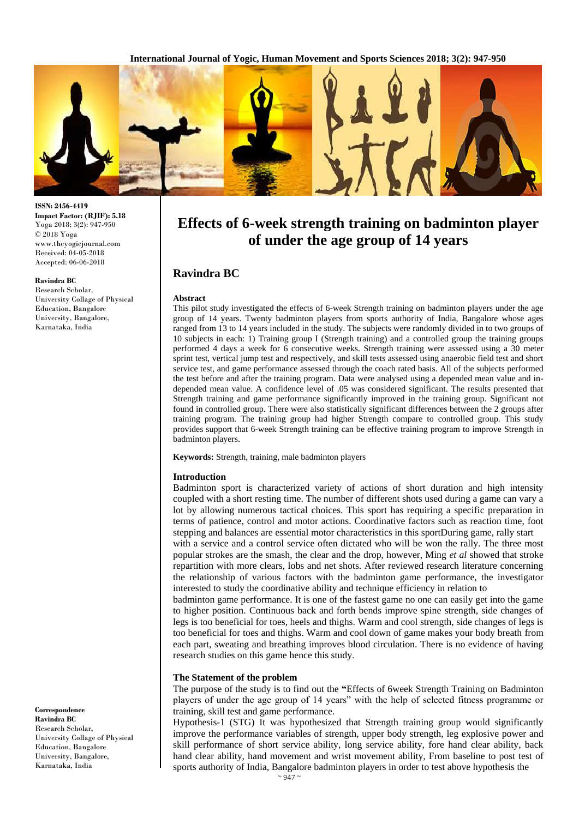**International Journal of Yogic, Human Movement and Sports Sciences 2018; 3(2): 947-950**



**ISSN: 2456-4419 Impact Factor: (RJIF): 5.18** Yoga 2018; 3(2): 947-950 © 2018 Yoga www.theyogicjournal.com Received: 04-05-2018 Accepted: 06-06-2018

#### **Ravindra BC**

Research Scholar, University Collage of Physical Education, Bangalore University, Bangalore, Karnataka, India

**Correspondence Ravindra BC** Research Scholar, University Collage of Physical Education, Bangalore University, Bangalore, Karnataka, India

# **Effects of 6-week strength training on badminton player of under the age group of 14 years**

# **Ravindra BC**

#### **Abstract**

This pilot study investigated the effects of 6-week Strength training on badminton players under the age group of 14 years. Twenty badminton players from sports authority of India, Bangalore whose ages ranged from 13 to 14 years included in the study. The subjects were randomly divided in to two groups of 10 subjects in each: 1) Training group I (Strength training) and a controlled group the training groups performed 4 days a week for 6 consecutive weeks. Strength training were assessed using a 30 meter sprint test, vertical jump test and respectively, and skill tests assessed using anaerobic field test and short service test, and game performance assessed through the coach rated basis. All of the subjects performed the test before and after the training program. Data were analysed using a depended mean value and independed mean value. A confidence level of .05 was considered significant. The results presented that Strength training and game performance significantly improved in the training group. Significant not found in controlled group. There were also statistically significant differences between the 2 groups after training program. The training group had higher Strength compare to controlled group. This study provides support that 6-week Strength training can be effective training program to improve Strength in badminton players.

**Keywords:** Strength, training, male badminton players

#### **Introduction**

Badminton sport is characterized variety of actions of short duration and high intensity coupled with a short resting time. The number of different shots used during a game can vary a lot by allowing numerous tactical choices. This sport has requiring a specific preparation in terms of patience, control and motor actions. Coordinative factors such as reaction time, foot stepping and balances are essential motor characteristics in this sportDuring game, rally start

with a service and a control service often dictated who will be won the rally. The three most popular strokes are the smash, the clear and the drop, however, Ming *et al* showed that stroke repartition with more clears, lobs and net shots. After reviewed research literature concerning the relationship of various factors with the badminton game performance, the investigator interested to study the coordinative ability and technique efficiency in relation to

badminton game performance. It is one of the fastest game no one can easily get into the game to higher position. Continuous back and forth bends improve spine strength, side changes of legs is too beneficial for toes, heels and thighs. Warm and cool strength, side changes of legs is too beneficial for toes and thighs. Warm and cool down of game makes your body breath from each part, sweating and breathing improves blood circulation. There is no evidence of having research studies on this game hence this study.

#### **The Statement of the problem**

The purpose of the study is to find out the **"**Effects of 6week Strength Training on Badminton players of under the age group of 14 years" with the help of selected fitness programme or training, skill test and game performance.

Hypothesis-1 (STG) It was hypothesized that Strength training group would significantly improve the performance variables of strength, upper body strength, leg explosive power and skill performance of short service ability, long service ability, fore hand clear ability, back hand clear ability, hand movement and wrist movement ability, From baseline to post test of sports authority of India, Bangalore badminton players in order to test above hypothesis the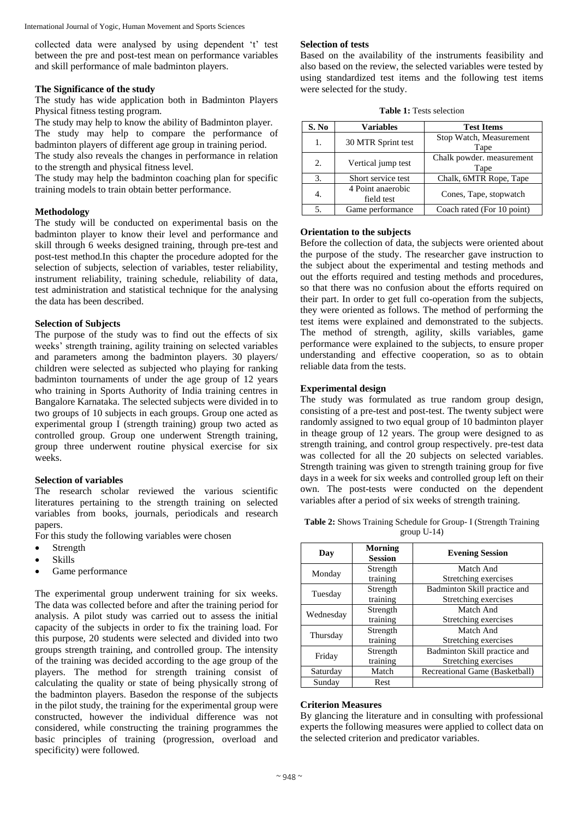International Journal of Yogic, Human Movement and Sports Sciences

collected data were analysed by using dependent 't' test between the pre and post-test mean on performance variables and skill performance of male badminton players.

#### **The Significance of the study**

The study has wide application both in Badminton Players Physical fitness testing program.

The study may help to know the ability of Badminton player. The study may help to compare the performance of badminton players of different age group in training period.

The study also reveals the changes in performance in relation to the strength and physical fitness level.

The study may help the badminton coaching plan for specific training models to train obtain better performance.

## **Methodology**

The study will be conducted on experimental basis on the badminton player to know their level and performance and skill through 6 weeks designed training, through pre-test and post-test method.In this chapter the procedure adopted for the selection of subjects, selection of variables, tester reliability, instrument reliability, training schedule, reliability of data, test administration and statistical technique for the analysing the data has been described.

#### **Selection of Subjects**

The purpose of the study was to find out the effects of six weeks' strength training, agility training on selected variables and parameters among the badminton players. 30 players/ children were selected as subjected who playing for ranking badminton tournaments of under the age group of 12 years who training in Sports Authority of India training centres in Bangalore Karnataka. The selected subjects were divided in to two groups of 10 subjects in each groups. Group one acted as experimental group I (strength training) group two acted as controlled group. Group one underwent Strength training, group three underwent routine physical exercise for six weeks.

#### **Selection of variables**

The research scholar reviewed the various scientific literatures pertaining to the strength training on selected variables from books, journals, periodicals and research papers.

For this study the following variables were chosen

- Strength
- Skills
- Game performance

The experimental group underwent training for six weeks. The data was collected before and after the training period for analysis. A pilot study was carried out to assess the initial capacity of the subjects in order to fix the training load. For this purpose, 20 students were selected and divided into two groups strength training, and controlled group. The intensity of the training was decided according to the age group of the players. The method for strength training consist of calculating the quality or state of being physically strong of the badminton players. Basedon the response of the subjects in the pilot study, the training for the experimental group were constructed, however the individual difference was not considered, while constructing the training programmes the basic principles of training (progression, overload and specificity) were followed.

#### **Selection of tests**

Based on the availability of the instruments feasibility and also based on the review, the selected variables were tested by using standardized test items and the following test items were selected for the study.

|  |  | <b>Table 1:</b> Tests selection |
|--|--|---------------------------------|
|--|--|---------------------------------|

| S. No | <b>Variables</b>                | <b>Test Items</b>                 |
|-------|---------------------------------|-----------------------------------|
| 1.    | 30 MTR Sprint test              | Stop Watch, Measurement<br>Tape   |
| 2.5   | Vertical jump test              | Chalk powder. measurement<br>Tape |
| 3.    | Short service test              | Chalk, 6MTR Rope, Tape            |
| 4.    | 4 Point anaerobic<br>field test | Cones, Tape, stopwatch            |
| 5.    | Game performance                | Coach rated (For 10 point)        |

#### **Orientation to the subjects**

Before the collection of data, the subjects were oriented about the purpose of the study. The researcher gave instruction to the subject about the experimental and testing methods and out the efforts required and testing methods and procedures, so that there was no confusion about the efforts required on their part. In order to get full co-operation from the subjects, they were oriented as follows. The method of performing the test items were explained and demonstrated to the subjects. The method of strength, agility, skills variables, game performance were explained to the subjects, to ensure proper understanding and effective cooperation, so as to obtain reliable data from the tests.

#### **Experimental design**

The study was formulated as true random group design, consisting of a pre-test and post-test. The twenty subject were randomly assigned to two equal group of 10 badminton player in theage group of 12 years. The group were designed to as strength training, and control group respectively. pre-test data was collected for all the 20 subjects on selected variables. Strength training was given to strength training group for five days in a week for six weeks and controlled group left on their own. The post-tests were conducted on the dependent variables after a period of six weeks of strength training.

**Table 2:** Shows Training Schedule for Group- I (Strength Training group U-14)

| Day       | Morning<br><b>Session</b> | <b>Evening Session</b>         |
|-----------|---------------------------|--------------------------------|
|           | Strength                  | Match And                      |
| Monday    | training                  | Stretching exercises           |
|           | Strength                  | Badminton Skill practice and   |
| Tuesday   | training                  | Stretching exercises           |
| Wednesday | Strength                  | Match And                      |
|           | training                  | Stretching exercises           |
|           | Strength                  | Match And                      |
| Thursday  | training                  | Stretching exercises           |
| Friday    | Strength                  | Badminton Skill practice and   |
|           | training                  | Stretching exercises           |
| Saturday  | Match                     | Recreational Game (Basketball) |
| Sundav    | Rest                      |                                |

#### **Criterion Measures**

By glancing the literature and in consulting with professional experts the following measures were applied to collect data on the selected criterion and predicator variables.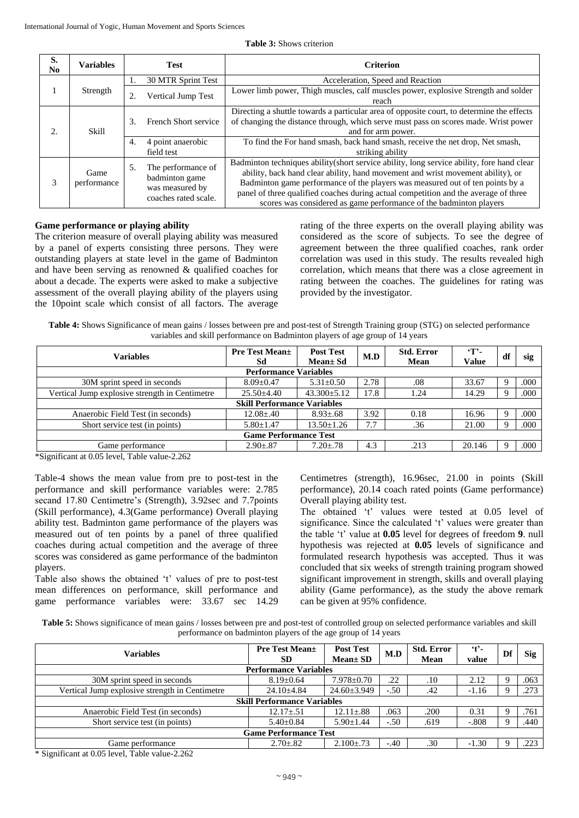| S.<br>N <sub>0</sub> | <b>Variables</b>    | <b>Test</b>                                                                           | <b>Criterion</b>                                                                                                                                                                                                                                                                                                                                                                                                            |
|----------------------|---------------------|---------------------------------------------------------------------------------------|-----------------------------------------------------------------------------------------------------------------------------------------------------------------------------------------------------------------------------------------------------------------------------------------------------------------------------------------------------------------------------------------------------------------------------|
|                      |                     | 30 MTR Sprint Test                                                                    | Acceleration, Speed and Reaction                                                                                                                                                                                                                                                                                                                                                                                            |
|                      | Strength            | Vertical Jump Test<br>2.                                                              | Lower limb power, Thigh muscles, calf muscles power, explosive Strength and solder<br>reach                                                                                                                                                                                                                                                                                                                                 |
| 2.                   | Skill               | French Short service<br>3.                                                            | Directing a shuttle towards a particular area of opposite court, to determine the effects<br>of changing the distance through, which serve must pass on scores made. Wrist power<br>and for arm power.                                                                                                                                                                                                                      |
|                      |                     | 4 point anaerobic<br>4.<br>field test                                                 | To find the For hand smash, back hand smash, receive the net drop, Net smash,<br>striking ability                                                                                                                                                                                                                                                                                                                           |
| 3                    | Game<br>performance | The performance of<br>5.<br>badminton game<br>was measured by<br>coaches rated scale. | Badminton techniques ability (short service ability, long service ability, fore hand clear<br>ability, back hand clear ability, hand movement and wrist movement ability), or<br>Badminton game performance of the players was measured out of ten points by a<br>panel of three qualified coaches during actual competition and the average of three<br>scores was considered as game performance of the badminton players |

#### **Game performance or playing ability**

The criterion measure of overall playing ability was measured by a panel of experts consisting three persons. They were outstanding players at state level in the game of Badminton and have been serving as renowned & qualified coaches for about a decade. The experts were asked to make a subjective assessment of the overall playing ability of the players using the 10point scale which consist of all factors. The average

rating of the three experts on the overall playing ability was considered as the score of subjects. To see the degree of agreement between the three qualified coaches, rank order correlation was used in this study. The results revealed high correlation, which means that there was a close agreement in rating between the coaches. The guidelines for rating was provided by the investigator.

**Table 4:** Shows Significance of mean gains / losses between pre and post-test of Strength Training group (STG) on selected performance variables and skill performance on Badminton players of age group of 14 years

| <b>Pre Test Mean</b> ±<br>Sd                  | <b>Post Test</b><br>Mean± Sd | M.D  | <b>Std. Error</b><br>Mean | Т.<br>Value | df   | sig  |  |  |  |
|-----------------------------------------------|------------------------------|------|---------------------------|-------------|------|------|--|--|--|
| <b>Performance Variables</b>                  |                              |      |                           |             |      |      |  |  |  |
| $8.09 + 0.47$                                 | $5.31 \pm 0.50$              | 2.78 | .08                       | 33.67       |      | .000 |  |  |  |
| 17.8<br>$43.300 \pm 5.12$<br>$25.50 \pm 4.40$ |                              | 1.24 | 14.29                     |             | .000 |      |  |  |  |
| <b>Skill Performance Variables</b>            |                              |      |                           |             |      |      |  |  |  |
| $12.08 + .40$                                 | $8.93 \pm .68$               | 3.92 | 0.18                      | 16.96       |      | .000 |  |  |  |
| $5.80 \pm 1.47$                               | $13.50 \pm 1.26$             | 7.7  | .36                       | 21.00       |      | .000 |  |  |  |
| <b>Game Performance Test</b>                  |                              |      |                           |             |      |      |  |  |  |
| $2.90 \pm .87$                                | $7.20 \pm .78$               | 4.3  | .213                      | 20.146      |      | .000 |  |  |  |
|                                               |                              |      |                           |             |      |      |  |  |  |

\*Significant at 0.05 level, Table value-2.262

Table-4 shows the mean value from pre to post-test in the performance and skill performance variables were: 2.785 secand 17.80 Centimetre's (Strength), 3.92sec and 7.7points (Skill performance), 4.3(Game performance) Overall playing ability test. Badminton game performance of the players was measured out of ten points by a panel of three qualified coaches during actual competition and the average of three scores was considered as game performance of the badminton players.

Table also shows the obtained 't' values of pre to post-test mean differences on performance, skill performance and game performance variables were: 33.67 sec 14.29

Centimetres (strength), 16.96sec, 21.00 in points (Skill performance), 20.14 coach rated points (Game performance) Overall playing ability test.

The obtained 't' values were tested at 0.05 level of significance. Since the calculated 't' values were greater than the table 't' value at **0.05** level for degrees of freedom **9**. null hypothesis was rejected at **0.05** levels of significance and formulated research hypothesis was accepted. Thus it was concluded that six weeks of strength training program showed significant improvement in strength, skills and overall playing ability (Game performance), as the study the above remark can be given at 95% confidence.

**Table 5:** Shows significance of mean gains / losses between pre and post-test of controlled group on selected performance variables and skill performance on badminton players of the age group of 14 years

| Variables                                      | <b>Pre Test Mean</b> ±<br><b>SD</b> | <b>Post Test</b><br>$Mean \pm SD$ | M.D    | <b>Std. Error</b><br>Mean | $\mathfrak{t}$ .<br>value | Df | Sig  |  |
|------------------------------------------------|-------------------------------------|-----------------------------------|--------|---------------------------|---------------------------|----|------|--|
| <b>Performance Variables</b>                   |                                     |                                   |        |                           |                           |    |      |  |
| 30M sprint speed in seconds                    | $8.19 \pm 0.64$                     | $7.978 \pm 0.70$                  | .22    | .10                       | 2.12                      |    | .063 |  |
| Vertical Jump explosive strength in Centimetre | $24.10 \pm 4.84$                    | $24.60 \pm 3.949$                 | $-.50$ | .42                       | $-1.16$                   |    | .273 |  |
| <b>Skill Performance Variables</b>             |                                     |                                   |        |                           |                           |    |      |  |
| Anaerobic Field Test (in seconds)              | $12.17 \pm .51$                     | $12.11 \pm .88$                   | .063   | .200                      | 0.31                      |    | .761 |  |
| Short service test (in points)                 | $5.40 \pm 0.84$                     | $5.90 \pm 1.44$                   | $-.50$ | .619                      | $-.808$                   |    | .440 |  |
| <b>Game Performance Test</b>                   |                                     |                                   |        |                           |                           |    |      |  |
| Game performance                               | $2.70 \pm .82$                      | $2.100 \pm .73$                   | $-.40$ | .30                       | $-1.30$                   |    | .223 |  |

\* Significant at 0.05 level, Table value-2.262